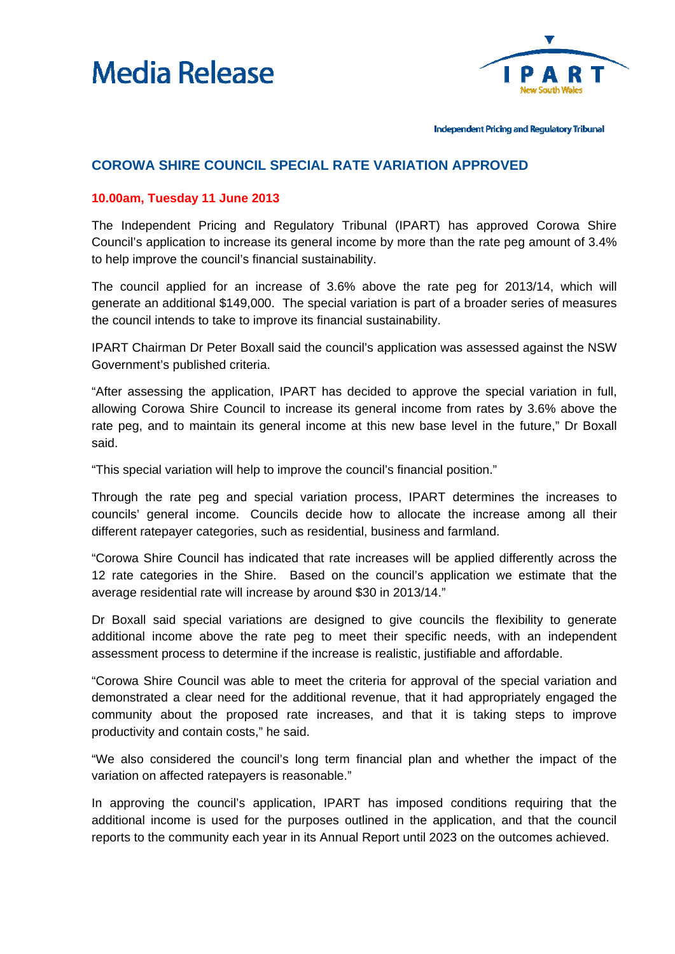



Independent Pricing and Regulatory Tribunal

## **COROWA SHIRE COUNCIL SPECIAL RATE VARIATION APPROVED**

## **10.00am, Tuesday 11 June 2013**

The Independent Pricing and Regulatory Tribunal (IPART) has approved Corowa Shire Council's application to increase its general income by more than the rate peg amount of 3.4% to help improve the council's financial sustainability.

The council applied for an increase of 3.6% above the rate peg for 2013/14, which will generate an additional \$149,000. The special variation is part of a broader series of measures the council intends to take to improve its financial sustainability.

IPART Chairman Dr Peter Boxall said the council's application was assessed against the NSW Government's published criteria.

"After assessing the application, IPART has decided to approve the special variation in full, allowing Corowa Shire Council to increase its general income from rates by 3.6% above the rate peg, and to maintain its general income at this new base level in the future," Dr Boxall said.

"This special variation will help to improve the council's financial position."

Through the rate peg and special variation process, IPART determines the increases to councils' general income. Councils decide how to allocate the increase among all their different ratepayer categories, such as residential, business and farmland.

"Corowa Shire Council has indicated that rate increases will be applied differently across the 12 rate categories in the Shire. Based on the council's application we estimate that the average residential rate will increase by around \$30 in 2013/14."

Dr Boxall said special variations are designed to give councils the flexibility to generate additional income above the rate peg to meet their specific needs, with an independent assessment process to determine if the increase is realistic, justifiable and affordable.

"Corowa Shire Council was able to meet the criteria for approval of the special variation and demonstrated a clear need for the additional revenue, that it had appropriately engaged the community about the proposed rate increases, and that it is taking steps to improve productivity and contain costs," he said.

"We also considered the council's long term financial plan and whether the impact of the variation on affected ratepayers is reasonable."

In approving the council's application, IPART has imposed conditions requiring that the additional income is used for the purposes outlined in the application, and that the council reports to the community each year in its Annual Report until 2023 on the outcomes achieved.